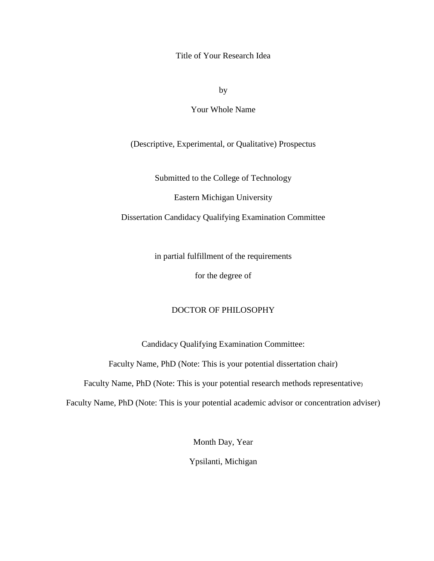Title of Your Research Idea

by

Your Whole Name

(Descriptive, Experimental, or Qualitative) Prospectus

Submitted to the College of Technology

Eastern Michigan University

Dissertation Candidacy Qualifying Examination Committee

in partial fulfillment of the requirements

for the degree of

### DOCTOR OF PHILOSOPHY

Candidacy Qualifying Examination Committee:

Faculty Name, PhD (Note: This is your potential dissertation chair)

Faculty Name, PhD (Note: This is your potential research methods representative)

Faculty Name, PhD (Note: This is your potential academic advisor or concentration adviser)

Month Day, Year

Ypsilanti, Michigan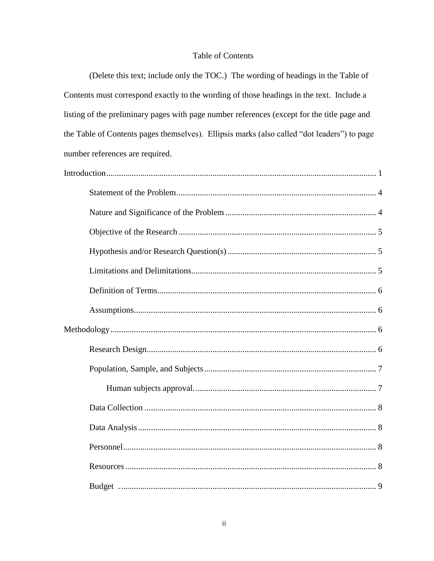## **Table of Contents**

(Delete this text; include only the TOC.) The wording of headings in the Table of Contents must correspond exactly to the wording of those headings in the text. Include a listing of the preliminary pages with page number references (except for the title page and the Table of Contents pages themselves). Ellipsis marks (also called "dot leaders") to page number references are required.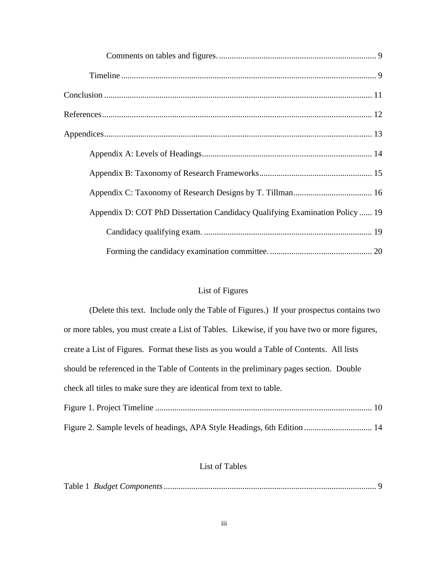| Appendix D: COT PhD Dissertation Candidacy Qualifying Examination Policy  19 |
|------------------------------------------------------------------------------|
|                                                                              |
|                                                                              |

# List of Figures

| (Delete this text. Include only the Table of Figures.) If your prospectus contains two       |
|----------------------------------------------------------------------------------------------|
| or more tables, you must create a List of Tables. Likewise, if you have two or more figures, |
| create a List of Figures. Format these lists as you would a Table of Contents. All lists     |
| should be referenced in the Table of Contents in the preliminary pages section. Double       |
| check all titles to make sure they are identical from text to table.                         |
|                                                                                              |
|                                                                                              |

## [Figure 2. Sample levels of headings, APA Style Headings, 6th Edition](#page-16-1) ................................ 14

## List of Tables

|--|--|--|--|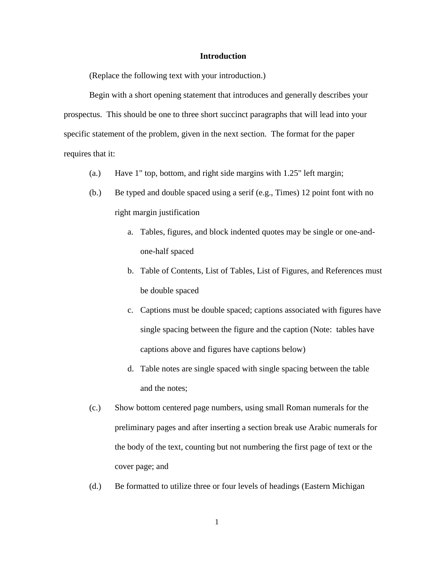#### **Introduction**

<span id="page-3-0"></span>(Replace the following text with your introduction.)

Begin with a short opening statement that introduces and generally describes your prospectus. This should be one to three short succinct paragraphs that will lead into your specific statement of the problem, given in the next section. The format for the paper requires that it:

- (a.) Have 1" top, bottom, and right side margins with 1.25" left margin;
- (b.) Be typed and double spaced using a serif (e.g., Times) 12 point font with no right margin justification
	- a. Tables, figures, and block indented quotes may be single or one-andone-half spaced
	- b. Table of Contents, List of Tables, List of Figures, and References must be double spaced
	- c. Captions must be double spaced; captions associated with figures have single spacing between the figure and the caption (Note: tables have captions above and figures have captions below)
	- d. Table notes are single spaced with single spacing between the table and the notes;
- (c.) Show bottom centered page numbers, using small Roman numerals for the preliminary pages and after inserting a section break use Arabic numerals for the body of the text, counting but not numbering the first page of text or the cover page; and
- (d.) Be formatted to utilize three or four levels of headings (Eastern Michigan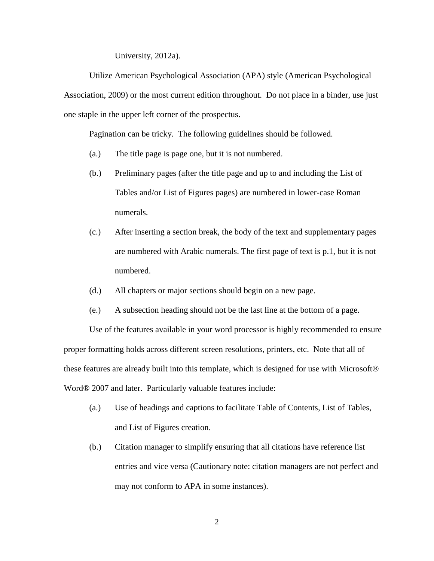University, 2012a).

Utilize American Psychological Association (APA) style (American Psychological Association, 2009) or the most current edition throughout. Do not place in a binder, use just one staple in the upper left corner of the prospectus.

Pagination can be tricky. The following guidelines should be followed.

- (a.) The title page is page one, but it is not numbered.
- (b.) Preliminary pages (after the title page and up to and including the List of Tables and/or List of Figures pages) are numbered in lower-case Roman numerals.
- (c.) After inserting a section break, the body of the text and supplementary pages are numbered with Arabic numerals. The first page of text is p.1, but it is not numbered.
- (d.) All chapters or major sections should begin on a new page.
- (e.) A subsection heading should not be the last line at the bottom of a page.

Use of the features available in your word processor is highly recommended to ensure proper formatting holds across different screen resolutions, printers, etc. Note that all of these features are already built into this template, which is designed for use with Microsoft® Word® 2007 and later. Particularly valuable features include:

- (a.) Use of headings and captions to facilitate Table of Contents, List of Tables, and List of Figures creation.
- (b.) Citation manager to simplify ensuring that all citations have reference list entries and vice versa (Cautionary note: citation managers are not perfect and may not conform to APA in some instances).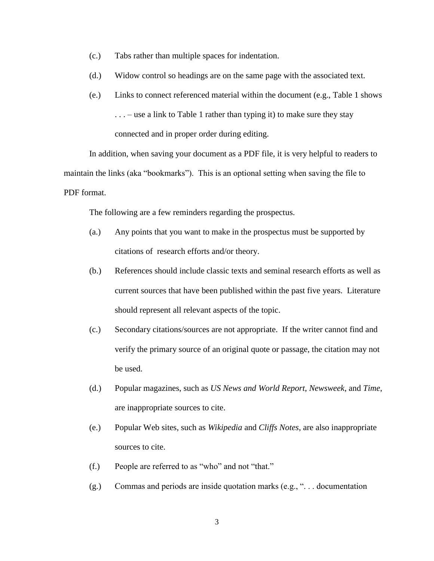- (c.) Tabs rather than multiple spaces for indentation.
- (d.) Widow control so headings are on the same page with the associated text.
- (e.) Links to connect referenced material within the document (e.g., Table 1 shows  $\ldots$  – use a link to Table 1 rather than typing it) to make sure they stay connected and in proper order during editing.

In addition, when saving your document as a PDF file, it is very helpful to readers to maintain the links (aka "bookmarks"). This is an optional setting when saving the file to PDF format.

The following are a few reminders regarding the prospectus.

- (a.) Any points that you want to make in the prospectus must be supported by citations of research efforts and/or theory.
- (b.) References should include classic texts and seminal research efforts as well as current sources that have been published within the past five years. Literature should represent all relevant aspects of the topic.
- (c.) Secondary citations/sources are not appropriate. If the writer cannot find and verify the primary source of an original quote or passage, the citation may not be used.
- (d.) Popular magazines, such as *US News and World Report*, *Newsweek*, and *Time*, are inappropriate sources to cite.
- (e.) Popular Web sites, such as *Wikipedia* and *Cliffs Notes*, are also inappropriate sources to cite.
- (f.) People are referred to as "who" and not "that."
- (g.) Commas and periods are inside quotation marks (e.g., ". . . documentation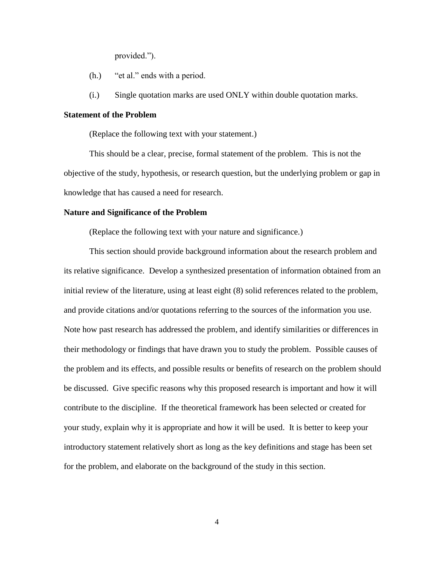provided.").

- (h.) "et al." ends with a period.
- (i.) Single quotation marks are used ONLY within double quotation marks.

#### <span id="page-6-0"></span>**Statement of the Problem**

(Replace the following text with your statement.)

This should be a clear, precise, formal statement of the problem. This is not the objective of the study, hypothesis, or research question, but the underlying problem or gap in knowledge that has caused a need for research.

#### <span id="page-6-1"></span>**Nature and Significance of the Problem**

(Replace the following text with your nature and significance.)

This section should provide background information about the research problem and its relative significance. Develop a synthesized presentation of information obtained from an initial review of the literature, using at least eight (8) solid references related to the problem, and provide citations and/or quotations referring to the sources of the information you use. Note how past research has addressed the problem, and identify similarities or differences in their methodology or findings that have drawn you to study the problem. Possible causes of the problem and its effects, and possible results or benefits of research on the problem should be discussed. Give specific reasons why this proposed research is important and how it will contribute to the discipline. If the theoretical framework has been selected or created for your study, explain why it is appropriate and how it will be used. It is better to keep your introductory statement relatively short as long as the key definitions and stage has been set for the problem, and elaborate on the background of the study in this section.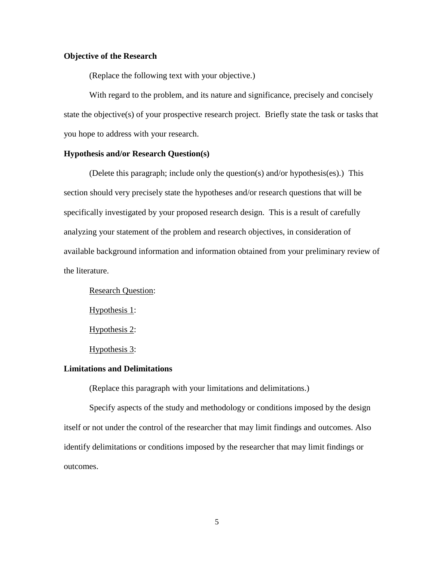#### <span id="page-7-0"></span>**Objective of the Research**

(Replace the following text with your objective.)

With regard to the problem, and its nature and significance, precisely and concisely state the objective(s) of your prospective research project. Briefly state the task or tasks that you hope to address with your research.

#### <span id="page-7-1"></span>**Hypothesis and/or Research Question(s)**

(Delete this paragraph; include only the question(s) and/or hypothesis(es).) This section should very precisely state the hypotheses and/or research questions that will be specifically investigated by your proposed research design. This is a result of carefully analyzing your statement of the problem and research objectives, in consideration of available background information and information obtained from your preliminary review of the literature.

Research Question: Hypothesis 1: Hypothesis 2:

Hypothesis 3:

#### <span id="page-7-2"></span>**Limitations and Delimitations**

(Replace this paragraph with your limitations and delimitations.)

Specify aspects of the study and methodology or conditions imposed by the design itself or not under the control of the researcher that may limit findings and outcomes. Also identify delimitations or conditions imposed by the researcher that may limit findings or outcomes.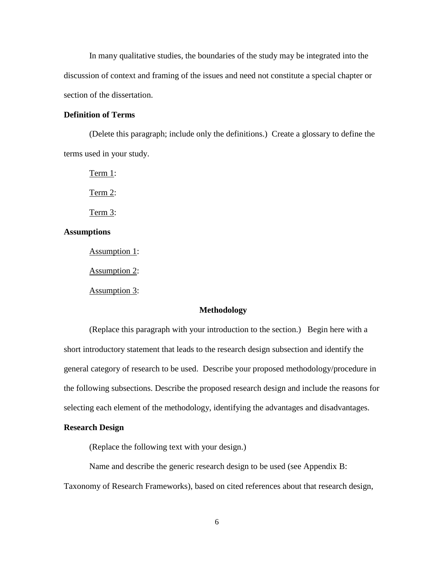In many qualitative studies, the boundaries of the study may be integrated into the discussion of context and framing of the issues and need not constitute a special chapter or section of the dissertation.

#### <span id="page-8-0"></span>**Definition of Terms**

(Delete this paragraph; include only the definitions.) Create a glossary to define the terms used in your study.

Term 1: Term 2: Term 3:

## <span id="page-8-1"></span>**Assumptions**

Assumption 1:

Assumption 2:

Assumption 3:

#### **Methodology**

<span id="page-8-2"></span>(Replace this paragraph with your introduction to the section.) Begin here with a short introductory statement that leads to the research design subsection and identify the general category of research to be used. Describe your proposed methodology/procedure in the following subsections. Describe the proposed research design and include the reasons for selecting each element of the methodology, identifying the advantages and disadvantages.

#### <span id="page-8-3"></span>**Research Design**

(Replace the following text with your design.)

Name and describe the generic research design to be used (see [Appendix B:](#page-17-0) 

[Taxonomy of Research Frameworks\)](#page-17-0), based on cited references about that research design,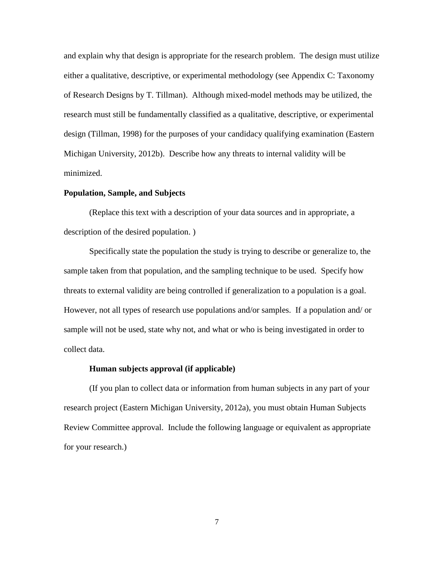and explain why that design is appropriate for the research problem. The design must utilize either a qualitative, descriptive, or experimental methodology (see [Appendix C: Taxonomy](#page-18-0)  [of Research Designs](#page-18-0) by T. Tillman). Although mixed-model methods may be utilized, the research must still be fundamentally classified as a qualitative, descriptive, or experimental design (Tillman, 1998) for the purposes of your candidacy qualifying examination (Eastern Michigan University, 2012b). Describe how any threats to internal validity will be minimized.

#### <span id="page-9-0"></span>**Population, Sample, and Subjects**

(Replace this text with a description of your data sources and in appropriate, a description of the desired population. )

Specifically state the population the study is trying to describe or generalize to, the sample taken from that population, and the sampling technique to be used. Specify how threats to external validity are being controlled if generalization to a population is a goal. However, not all types of research use populations and/or samples. If a population and/ or sample will not be used, state why not, and what or who is being investigated in order to collect data.

#### **Human subjects approval (if applicable)**

<span id="page-9-1"></span>(If you plan to collect data or information from human subjects in any part of your research project (Eastern Michigan University, 2012a), you must obtain Human Subjects Review Committee approval. Include the following language or equivalent as appropriate for your research.)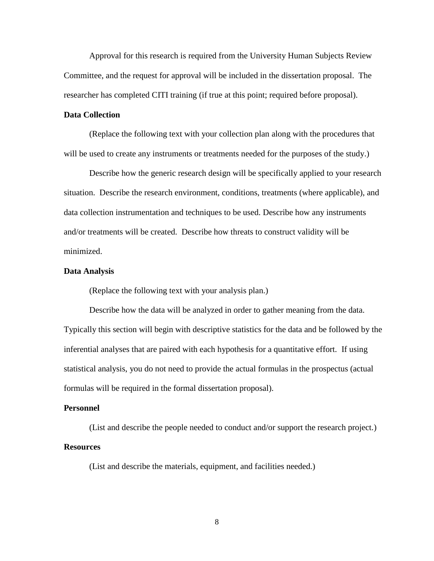Approval for this research is required from the University Human Subjects Review Committee, and the request for approval will be included in the dissertation proposal. The researcher has completed CITI training (if true at this point; required before proposal).

### <span id="page-10-0"></span>**Data Collection**

(Replace the following text with your collection plan along with the procedures that will be used to create any instruments or treatments needed for the purposes of the study.)

Describe how the generic research design will be specifically applied to your research situation. Describe the research environment, conditions, treatments (where applicable), and data collection instrumentation and techniques to be used. Describe how any instruments and/or treatments will be created. Describe how threats to construct validity will be minimized.

#### <span id="page-10-1"></span>**Data Analysis**

(Replace the following text with your analysis plan.)

Describe how the data will be analyzed in order to gather meaning from the data. Typically this section will begin with descriptive statistics for the data and be followed by the inferential analyses that are paired with each hypothesis for a quantitative effort. If using statistical analysis, you do not need to provide the actual formulas in the prospectus (actual formulas will be required in the formal dissertation proposal).

#### <span id="page-10-2"></span>**Personnel**

<span id="page-10-3"></span>(List and describe the people needed to conduct and/or support the research project.) **Resources**

(List and describe the materials, equipment, and facilities needed.)

8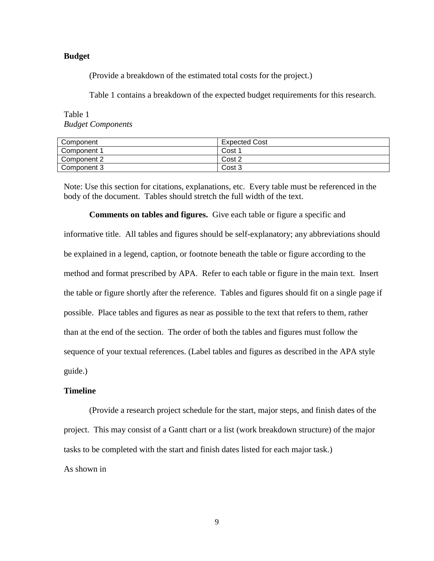#### <span id="page-11-0"></span>**Budget .**

(Provide a breakdown of the estimated total costs for the project.)

[Table 1](#page-11-3) contains a breakdown of the expected budget requirements for this research.

<span id="page-11-3"></span>Table 1 *Budget Components*

| Component   | Expected Cost |  |  |  |  |  |  |
|-------------|---------------|--|--|--|--|--|--|
| Component 1 | Cost 1        |  |  |  |  |  |  |
| Component 2 | Cost 2        |  |  |  |  |  |  |
| Component 3 | Cost 3        |  |  |  |  |  |  |

Note: Use this section for citations, explanations, etc. Every table must be referenced in the body of the document. Tables should stretch the full width of the text.

<span id="page-11-1"></span>**Comments on tables and figures.** Give each table or figure a specific and informative title. All tables and figures should be self-explanatory; any abbreviations should be explained in a legend, caption, or footnote beneath the table or figure according to the method and format prescribed by APA. Refer to each table or figure in the main text. Insert the table or figure shortly after the reference. Tables and figures should fit on a single page if possible. Place tables and figures as near as possible to the text that refers to them, rather than at the end of the section. The order of both the tables and figures must follow the sequence of your textual references. (Label tables and figures as described in the APA style guide.)

#### <span id="page-11-2"></span>**Timeline**

(Provide a research project schedule for the start, major steps, and finish dates of the project. This may consist of a Gantt chart or a list (work breakdown structure) of the major tasks to be completed with the start and finish dates listed for each major task.)

As shown in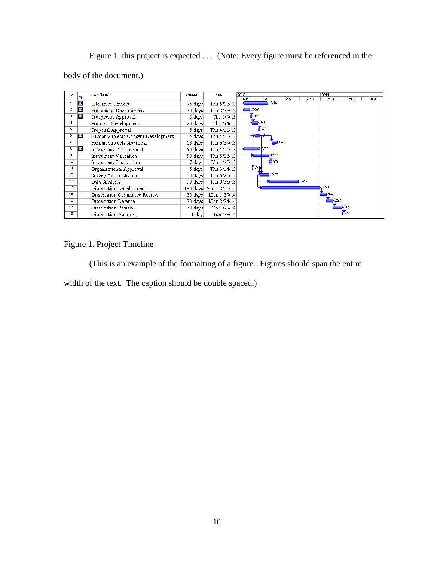[Figure 1,](#page-12-0) this project is expected . . . (Note: Every figure must be referenced in the body of the document.)

| ID.             |    | Task Name                          | Duration | Finish                | 2013    |                  |       |                  | 2014 |       |       |       |       |
|-----------------|----|------------------------------------|----------|-----------------------|---------|------------------|-------|------------------|------|-------|-------|-------|-------|
|                 | lo |                                    |          |                       | $Qtr$ 1 | Qtr <sub>2</sub> |       | Qtr <sub>3</sub> |      | Qtr 4 | Qtr 1 | Qtr 2 | Qtr 3 |
|                 | œ  | Literature Review                  | 75 days  | Thu 5/16/13           |         |                  | 5/16  |                  |      |       |       |       |       |
| $\overline{2}$  | œ  | Prospectus Development             | 20 days  | Thu 2/28/13           | 2/28    |                  |       |                  |      |       |       |       |       |
| з               | F. | Prospectus Approval                | 5 days   | Thu 3/7/13            | 637     |                  |       |                  |      |       |       |       |       |
| 4               |    | Proposal Development               | 20 days  | Thu 4/4/13            |         | 4/4              |       |                  |      |       |       |       |       |
| 5               |    | Proposal Approval                  | 5 days   | Thu 4/11/13           |         | 4/11             |       |                  |      |       |       |       |       |
| 6               | 匪  | Human Subjects Consent Development | 15 days  | Thu 4/11/13           |         |                  |       |                  |      |       |       |       |       |
| $7^{\circ}$     |    | Human Subjects Approval            | 18 days  | Thu 6/27/13           |         |                  |       | 6/27             |      |       |       |       |       |
| 8               | 匪  | Instrument Development             | 50 days  | Thu 4/11/13           |         | 4/11             |       |                  |      |       |       |       |       |
| я               |    | Instrument Validation              | 50 days  | Thu 5/23/13           |         |                  | -5123 |                  |      |       |       |       |       |
| 10 <sub>1</sub> |    | Instrument Finalization            | 7 days   | Mon 6/3/13            |         |                  | ZБ68  |                  |      |       |       |       |       |
| 11              |    | Organizational Approval            | 5 days   | Thu 3/14/13           |         | <b>Fa44</b>      |       |                  |      |       |       |       |       |
| 12              |    | Survey Administration              | 30 days  | Thu 5/23/13           |         |                  | 5/23  |                  |      |       |       |       |       |
| 13              |    | Data Analysis                      | 90 days  | Thu 9/26/13           |         |                  |       |                  | 9/26 |       |       |       |       |
| 14              |    | Dissertation Development           |          | 180 days Mon 12/30/13 |         |                  |       |                  |      |       | 12/30 |       |       |
| 15              |    | Dissertation Committee Review      | 20 days  | Mon 1/27/14           |         |                  |       |                  |      |       |       |       |       |
| 16              |    | Dissertation Defense               | 20 days  | Mon 2/24/14           |         |                  |       |                  |      |       |       |       |       |
| 17              |    | Dissertation Revision              | 30 days  | Mon 4/7/14            |         |                  |       |                  |      |       |       |       |       |
| 18              |    | Dissertation Approval              | 1 dav    | Tue 4/8/14            |         |                  |       |                  |      |       |       | 4/8   |       |

## <span id="page-12-0"></span>Figure 1. Project Timeline

(This is an example of the formatting of a figure. Figures should span the entire width of the text. The caption should be double spaced.)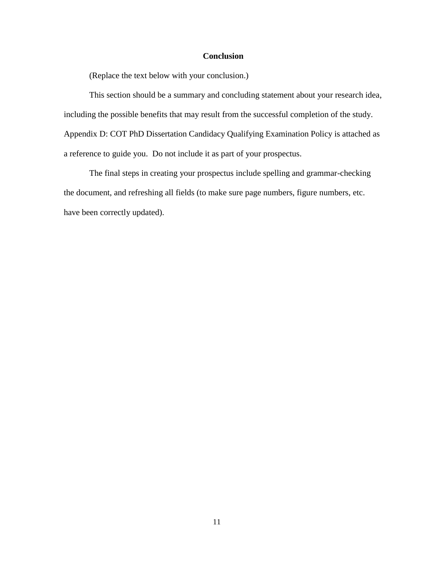## **Conclusion**

<span id="page-13-0"></span>(Replace the text below with your conclusion.)

This section should be a summary and concluding statement about your research idea, including the possible benefits that may result from the successful completion of the study. [Appendix D: COT PhD Dissertation Candidacy Qualifying Examination Policy](#page-21-0) is attached as a reference to guide you. Do not include it as part of your prospectus.

The final steps in creating your prospectus include spelling and grammar-checking the document, and refreshing all fields (to make sure page numbers, figure numbers, etc. have been correctly updated).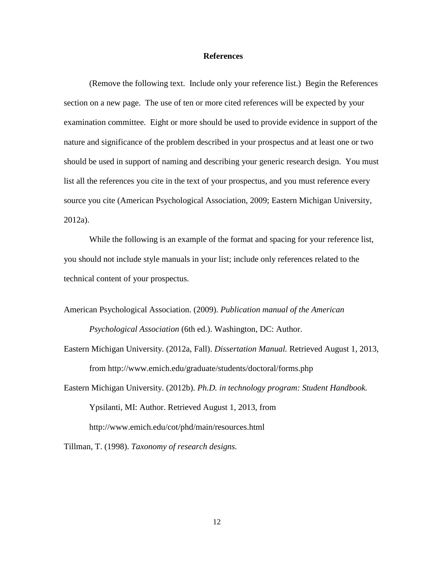#### **References**

<span id="page-14-0"></span>(Remove the following text. Include only your reference list.) Begin the References section on a new page. The use of ten or more cited references will be expected by your examination committee. Eight or more should be used to provide evidence in support of the nature and significance of the problem described in your prospectus and at least one or two should be used in support of naming and describing your generic research design. You must list all the references you cite in the text of your prospectus, and you must reference every source you cite (American Psychological Association, 2009; Eastern Michigan University, 2012a).

While the following is an example of the format and spacing for your reference list, you should not include style manuals in your list; include only references related to the technical content of your prospectus.

American Psychological Association. (2009). *Publication manual of the American Psychological Association* (6th ed.). Washington, DC: Author.

Eastern Michigan University. (2012a, Fall). *Dissertation Manual.* Retrieved August 1, 2013, from http://www.emich.edu/graduate/students/doctoral/forms.php

Eastern Michigan University. (2012b). *Ph.D. in technology program: Student Handbook.* Ypsilanti, MI: Author. Retrieved August 1, 2013, from http://www.emich.edu/cot/phd/main/resources.html

<span id="page-14-1"></span>Tillman, T. (1998). *Taxonomy of research designs.*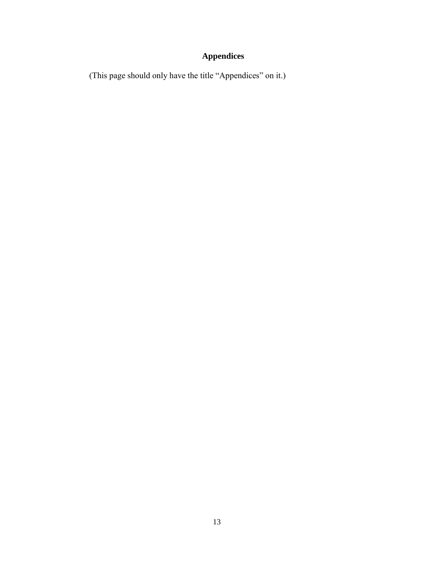# **Appendices**

(This page should only have the title "Appendices" on it.)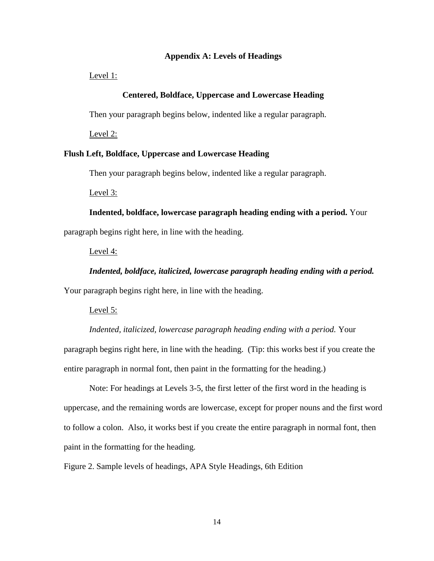#### **Appendix A: Levels of Headings**

<span id="page-16-0"></span>Level 1:

#### **Centered, Boldface, Uppercase and Lowercase Heading**

Then your paragraph begins below, indented like a regular paragraph.

Level 2:

#### **Flush Left, Boldface, Uppercase and Lowercase Heading**

Then your paragraph begins below, indented like a regular paragraph.

Level 3:

**Indented, boldface, lowercase paragraph heading ending with a period.** Your paragraph begins right here, in line with the heading.

#### Level 4:

*Indented, boldface, italicized, lowercase paragraph heading ending with a period.*

Your paragraph begins right here, in line with the heading.

#### Level 5:

*Indented, italicized, lowercase paragraph heading ending with a period.* Your paragraph begins right here, in line with the heading. (Tip: this works best if you create the entire paragraph in normal font, then paint in the formatting for the heading.)

Note: For headings at Levels 3-5, the first letter of the first word in the heading is uppercase, and the remaining words are lowercase, except for proper nouns and the first word to follow a colon. Also, it works best if you create the entire paragraph in normal font, then paint in the formatting for the heading.

<span id="page-16-1"></span>Figure 2. Sample levels of headings, APA Style Headings, 6th Edition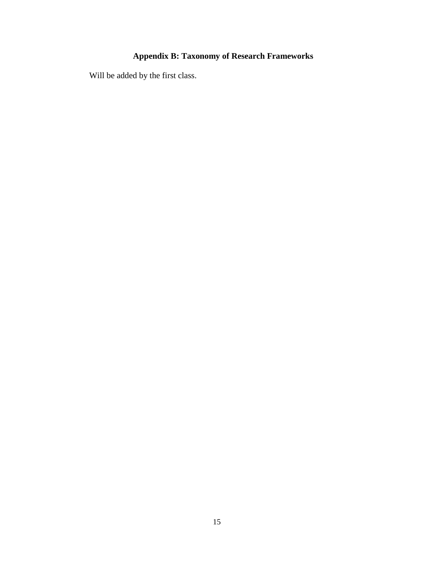## **Appendix B: Taxonomy of Research Frameworks**

<span id="page-17-0"></span>Will be added by the first class.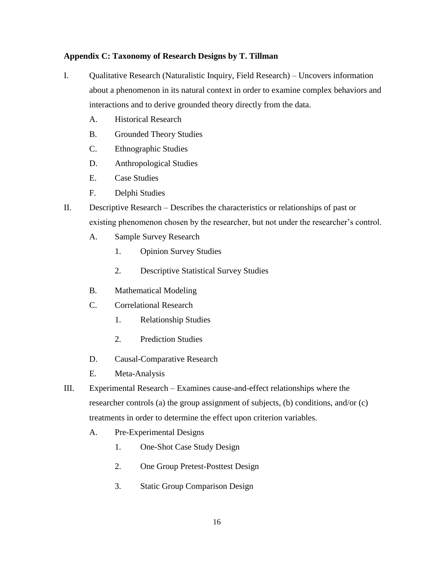## <span id="page-18-0"></span>**Appendix C: Taxonomy of Research Designs by T. Tillman**

- I. Qualitative Research (Naturalistic Inquiry, Field Research) Uncovers information about a phenomenon in its natural context in order to examine complex behaviors and interactions and to derive grounded theory directly from the data.
	- A. Historical Research
	- B. Grounded Theory Studies
	- C. Ethnographic Studies
	- D. Anthropological Studies
	- E. Case Studies
	- F. Delphi Studies
- II. Descriptive Research Describes the characteristics or relationships of past or existing phenomenon chosen by the researcher, but not under the researcher's control.
	- A. Sample Survey Research
		- 1. Opinion Survey Studies
		- 2. Descriptive Statistical Survey Studies
	- B. Mathematical Modeling
	- C. Correlational Research
		- 1. Relationship Studies
		- 2. Prediction Studies
	- D. Causal-Comparative Research
	- E. Meta-Analysis
- III. Experimental Research Examines cause-and-effect relationships where the researcher controls (a) the group assignment of subjects, (b) conditions, and/or (c) treatments in order to determine the effect upon criterion variables.
	- A. Pre-Experimental Designs
		- 1. One-Shot Case Study Design
		- 2. One Group Pretest-Posttest Design
		- 3. Static Group Comparison Design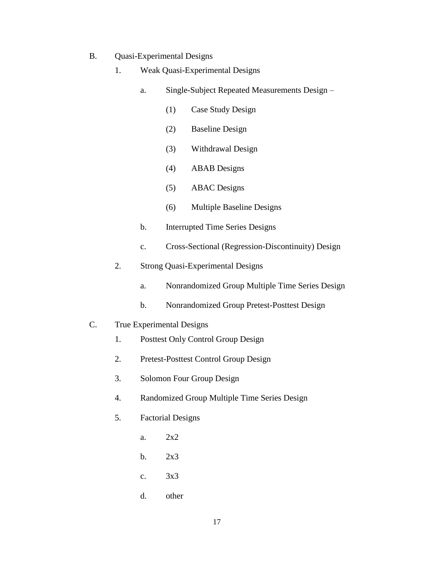- B. Quasi-Experimental Designs
	- 1. Weak Quasi-Experimental Designs
		- a. Single-Subject Repeated Measurements Design
			- (1) Case Study Design
			- (2) Baseline Design
			- (3) Withdrawal Design
			- (4) ABAB Designs
			- (5) ABAC Designs
			- (6) Multiple Baseline Designs
		- b. Interrupted Time Series Designs
		- c. Cross-Sectional (Regression-Discontinuity) Design
	- 2. Strong Quasi-Experimental Designs
		- a. Nonrandomized Group Multiple Time Series Design
		- b. Nonrandomized Group Pretest-Posttest Design
- C. True Experimental Designs
	- 1. Posttest Only Control Group Design
	- 2. Pretest-Posttest Control Group Design
	- 3. Solomon Four Group Design
	- 4. Randomized Group Multiple Time Series Design
	- 5. Factorial Designs
		- a. 2x2
		- b.  $2x3$
		- c. 3x3
		- d. other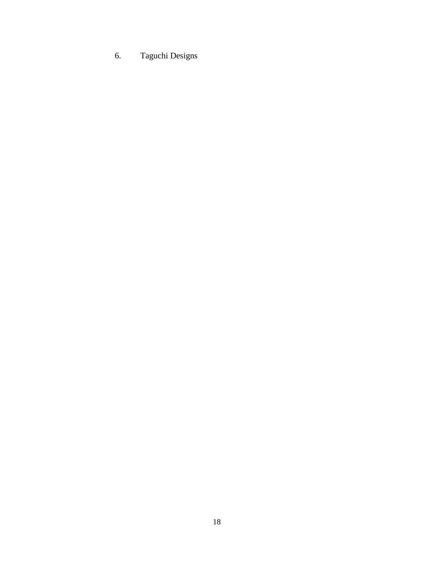# 6. Taguchi Designs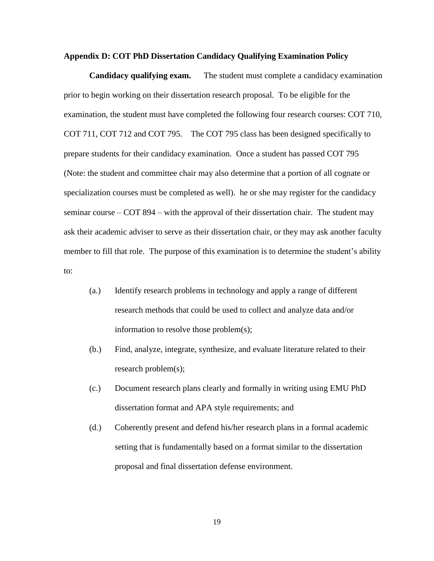#### <span id="page-21-0"></span>**Appendix D: COT PhD Dissertation Candidacy Qualifying Examination Policy**

<span id="page-21-1"></span>**Candidacy qualifying exam.** The student must complete a candidacy examination prior to begin working on their dissertation research proposal. To be eligible for the examination, the student must have completed the following four research courses: COT 710, COT 711, COT 712 and COT 795. The COT 795 class has been designed specifically to prepare students for their candidacy examination. Once a student has passed COT 795 (Note: the student and committee chair may also determine that a portion of all cognate or specialization courses must be completed as well). he or she may register for the candidacy seminar course – COT 894 – with the approval of their dissertation chair. The student may ask their academic adviser to serve as their dissertation chair, or they may ask another faculty member to fill that role. The purpose of this examination is to determine the student's ability to:

- (a.) Identify research problems in technology and apply a range of different research methods that could be used to collect and analyze data and/or information to resolve those problem(s);
- (b.) Find, analyze, integrate, synthesize, and evaluate literature related to their research problem(s);
- (c.) Document research plans clearly and formally in writing using EMU PhD dissertation format and APA style requirements; and
- (d.) Coherently present and defend his/her research plans in a formal academic setting that is fundamentally based on a format similar to the dissertation proposal and final dissertation defense environment.

19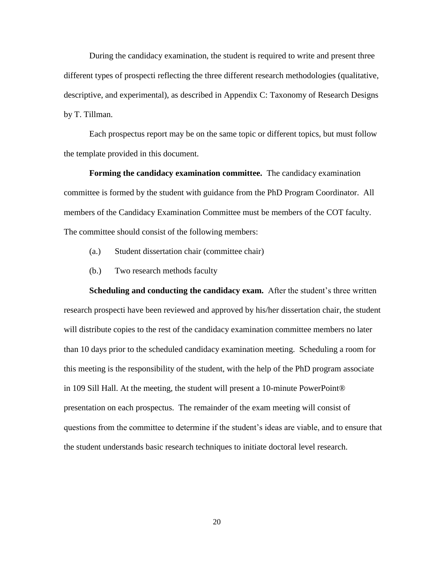During the candidacy examination, the student is required to write and present three different types of prospecti reflecting the three different research methodologies (qualitative, descriptive, and experimental), as described in [Appendix C: Taxonomy of Research Designs](#page-18-0) [by T. Tillman.](#page-18-0)

Each prospectus report may be on the same topic or different topics, but must follow the template provided in this document.

<span id="page-22-0"></span>**Forming the candidacy examination committee.** The candidacy examination committee is formed by the student with guidance from the PhD Program Coordinator. All members of the Candidacy Examination Committee must be members of the COT faculty. The committee should consist of the following members:

- (a.) Student dissertation chair (committee chair)
- (b.) Two research methods faculty

**Scheduling and conducting the candidacy exam.** After the student's three written research prospecti have been reviewed and approved by his/her dissertation chair, the student will distribute copies to the rest of the candidacy examination committee members no later than 10 days prior to the scheduled candidacy examination meeting. Scheduling a room for this meeting is the responsibility of the student, with the help of the PhD program associate in 109 Sill Hall. At the meeting, the student will present a 10-minute PowerPoint® presentation on each prospectus. The remainder of the exam meeting will consist of questions from the committee to determine if the student's ideas are viable, and to ensure that the student understands basic research techniques to initiate doctoral level research.